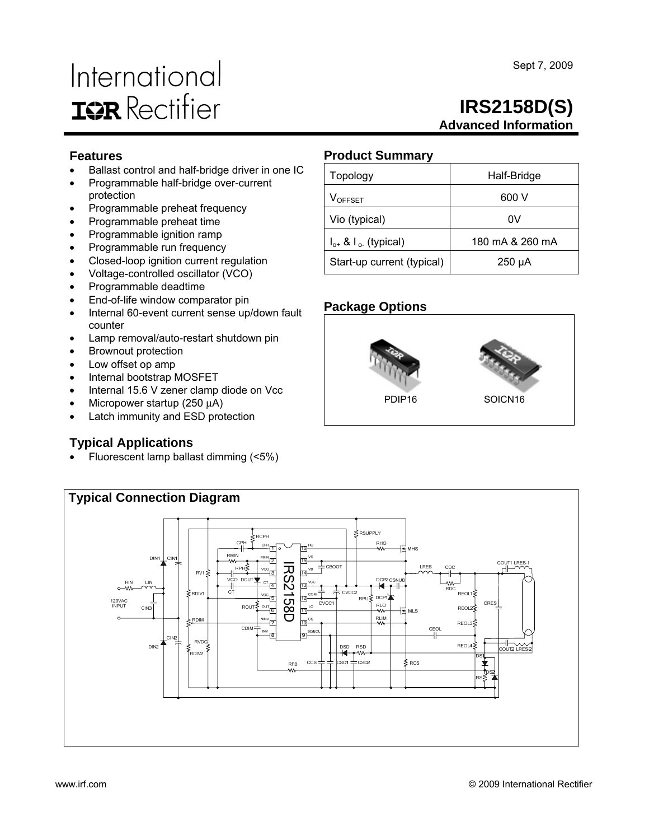# International **IGR** Rectifier

# **IRS2158D(S) Advanced Information**

## **Features**

- Ballast control and half-bridge driver in one IC
- Programmable half-bridge over-current protection
- Programmable preheat frequency
- Programmable preheat time
- Programmable ignition ramp
- Programmable run frequency
- Closed-loop ignition current regulation
- Voltage-controlled oscillator (VCO)
- Programmable deadtime
- End-of-life window comparator pin
- Internal 60-event current sense up/down fault counter
- Lamp removal/auto-restart shutdown pin
- Brownout protection
- Low offset op amp
- Internal bootstrap MOSFET
- Internal 15.6 V zener clamp diode on Vcc
- Micropower startup (250 μA)
- Latch immunity and ESD protection

# **Typical Applications**

• Fluorescent lamp ballast dimming (<5%)

# **Product Summary**

| Topology                      | Half-Bridge     |
|-------------------------------|-----------------|
| V <sub>OFFSET</sub>           | 600 V           |
| Vio (typical)                 | 0V              |
| $I_{o+}$ & $I_{o-}$ (typical) | 180 mA & 260 mA |
| Start-up current (typical)    | $250 \mu A$     |

## **Package Options**







Sept 7, 2009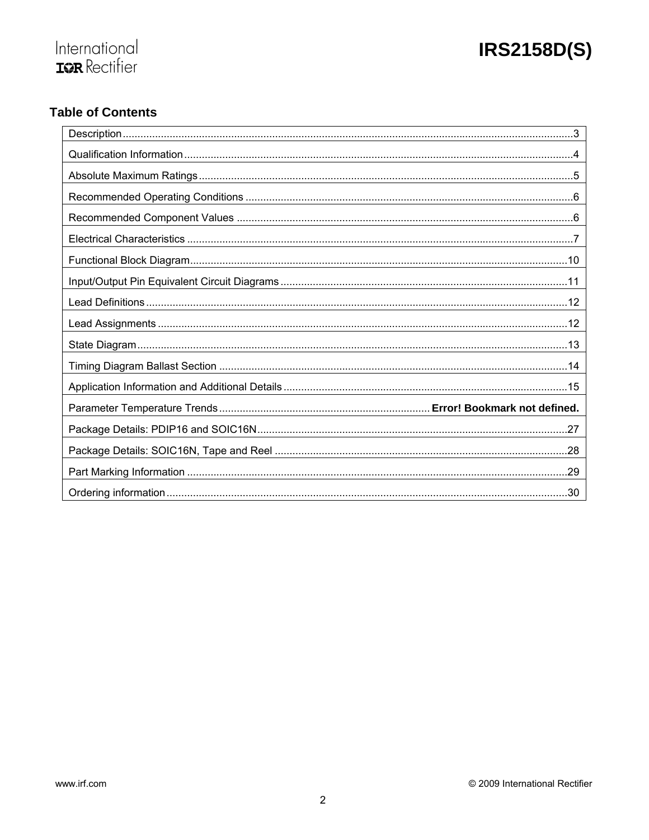

# **Table of Contents**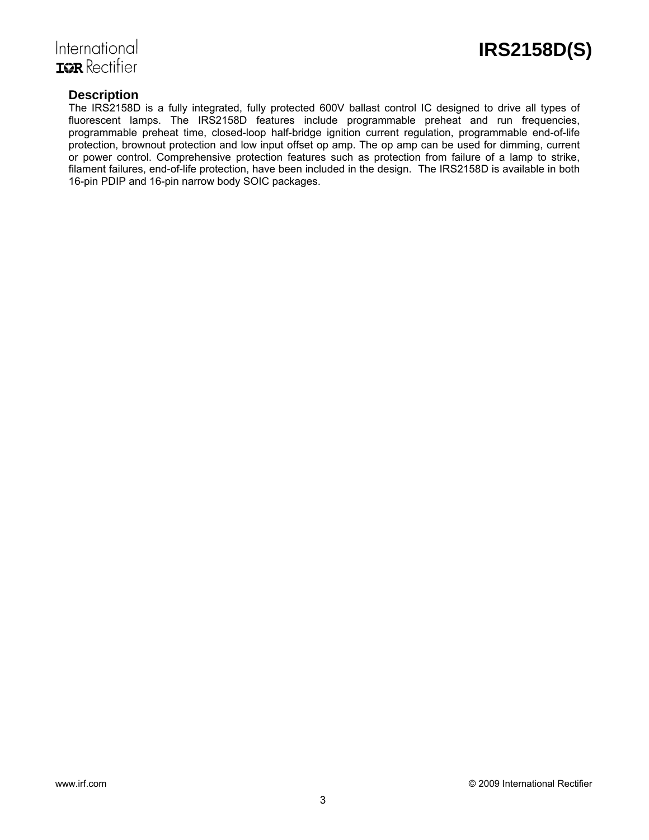

# International **TOR** Rectifier

## **Description**

The IRS2158D is a fully integrated, fully protected 600V ballast control IC designed to drive all types of fluorescent lamps. The IRS2158D features include programmable preheat and run frequencies, programmable preheat time, closed-loop half-bridge ignition current regulation, programmable end-of-life protection, brownout protection and low input offset op amp. The op amp can be used for dimming, current or power control. Comprehensive protection features such as protection from failure of a lamp to strike, filament failures, end-of-life protection, have been included in the design. The IRS2158D is available in both 16-pin PDIP and 16-pin narrow body SOIC packages.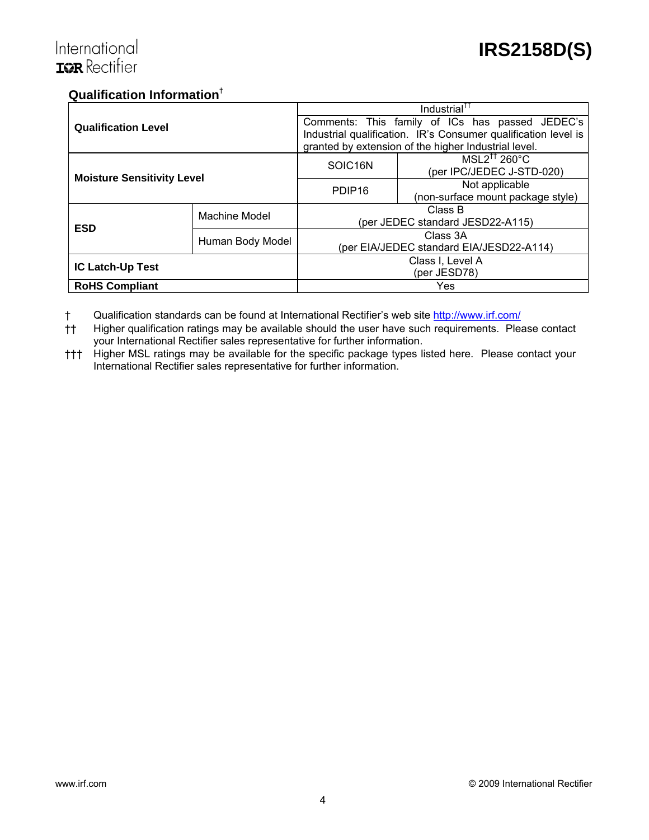# **Qualification Information**†

|                                   |                  |                                                 | Industrial <sup>††</sup>                                       |  |  |  |
|-----------------------------------|------------------|-------------------------------------------------|----------------------------------------------------------------|--|--|--|
| <b>Qualification Level</b>        |                  | Comments: This family of ICs has passed JEDEC's |                                                                |  |  |  |
|                                   |                  |                                                 | Industrial qualification. IR's Consumer qualification level is |  |  |  |
|                                   |                  |                                                 | granted by extension of the higher Industrial level.           |  |  |  |
| <b>Moisture Sensitivity Level</b> |                  | SOIC <sub>16N</sub>                             | $MSL2^{\dagger\dagger}$ 260°C                                  |  |  |  |
|                                   |                  |                                                 | (per IPC/JEDEC J-STD-020)                                      |  |  |  |
|                                   |                  | PDIP <sub>16</sub>                              | Not applicable                                                 |  |  |  |
|                                   |                  |                                                 | (non-surface mount package style)                              |  |  |  |
|                                   | Machine Model    | Class B                                         |                                                                |  |  |  |
| <b>ESD</b>                        |                  | (per JEDEC standard JESD22-A115)                |                                                                |  |  |  |
|                                   |                  | Class 3A                                        |                                                                |  |  |  |
|                                   | Human Body Model | (per EIA/JEDEC standard EIA/JESD22-A114)        |                                                                |  |  |  |
|                                   |                  | Class I, Level A                                |                                                                |  |  |  |
| <b>IC Latch-Up Test</b>           |                  | (per JESD78)                                    |                                                                |  |  |  |
| <b>RoHS Compliant</b>             |                  |                                                 | Yes                                                            |  |  |  |

† Qualification standards can be found at International Rectifier's web site http://www.irf.com/

†† Higher qualification ratings may be available should the user have such requirements. Please contact your International Rectifier sales representative for further information.

††† Higher MSL ratings may be available for the specific package types listed here. Please contact your International Rectifier sales representative for further information.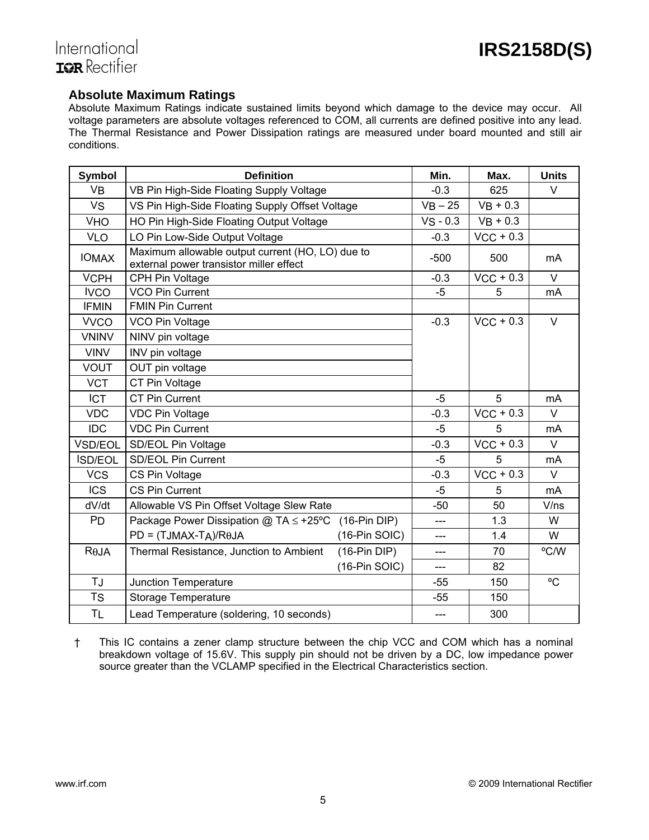## **Absolute Maximum Ratings**

Absolute Maximum Ratings indicate sustained limits beyond which damage to the device may occur. All voltage parameters are absolute voltages referenced to COM, all currents are defined positive into any lead. The Thermal Resistance and Power Dissipation ratings are measured under board mounted and still air conditions.

| <b>Symbol</b>  | <b>Definition</b>                                                                           |                 | Min.        | Max.                    | <b>Units</b> |
|----------------|---------------------------------------------------------------------------------------------|-----------------|-------------|-------------------------|--------------|
| <b>VB</b>      | VB Pin High-Side Floating Supply Voltage                                                    |                 | $-0.3$      | 625                     | $\vee$       |
| VS             | VS Pin High-Side Floating Supply Offset Voltage                                             |                 | $VB - 25$   | $VB + 0.3$              |              |
| <b>VHO</b>     | HO Pin High-Side Floating Output Voltage                                                    |                 | $VS - 0.3$  | $VB + 0.3$              |              |
| <b>VLO</b>     | LO Pin Low-Side Output Voltage                                                              |                 | $-0.3$      | $VCC + 0.3$             |              |
| <b>IOMAX</b>   | Maximum allowable output current (HO, LO) due to<br>external power transistor miller effect |                 | $-500$      | 500                     | mA           |
| <b>VCPH</b>    | CPH Pin Voltage                                                                             |                 | $-0.3$      | $\overline{V}$ CC + 0.3 | $\vee$       |
| <b>IVCO</b>    | <b>VCO Pin Current</b>                                                                      |                 | $-5$        | 5                       | mA           |
| <b>IFMIN</b>   | <b>FMIN Pin Current</b>                                                                     |                 |             |                         |              |
| <b>VVCO</b>    | VCO Pin Voltage                                                                             |                 | $-0.3$      | $VCC + 0.3$             | $\vee$       |
| <b>VNINV</b>   | NINV pin voltage                                                                            |                 |             |                         |              |
| <b>VINV</b>    | INV pin voltage                                                                             |                 |             |                         |              |
| <b>VOUT</b>    | OUT pin voltage                                                                             |                 |             |                         |              |
| <b>VCT</b>     | CT Pin Voltage                                                                              |                 |             |                         |              |
| <b>ICT</b>     | <b>CT Pin Current</b>                                                                       | -5              | 5           | mA                      |              |
| <b>VDC</b>     | <b>VDC Pin Voltage</b>                                                                      | $-0.3$          | $VCC + 0.3$ | $\vee$                  |              |
| <b>IDC</b>     | <b>VDC Pin Current</b>                                                                      |                 | -5          | 5                       | mA           |
| VSD/EOL        | SD/EOL Pin Voltage                                                                          |                 | $-0.3$      | $VCC + 0.3$             | $\vee$       |
| <b>ISD/EOL</b> | <b>SD/EOL Pin Current</b>                                                                   |                 | -5          | 5                       | mA           |
| <b>VCS</b>     | CS Pin Voltage                                                                              |                 | $-0.3$      | $VCC + 0.3$             | $\vee$       |
| <b>ICS</b>     | <b>CS Pin Current</b>                                                                       |                 | -5          | 5                       | mA           |
| dV/dt          | Allowable VS Pin Offset Voltage Slew Rate                                                   |                 | $-50$       | 50                      | V/ns         |
| <b>PD</b>      | Package Power Dissipation $@$ TA $\leq$ +25°C                                               | $(16-Pin DIP)$  | ---         | 1.3                     | W            |
|                | $PD = (TJMAX-TA)/R\theta JA$                                                                | $(16-Pin SOIC)$ | ---         | 1.4                     | W            |
| $R\theta$ JA   | Thermal Resistance, Junction to Ambient                                                     | $(16-Pin DIP)$  | ---         | 70                      | °C/W         |
|                |                                                                                             | $(16-Pin SOIC)$ | ---         | 82                      |              |
| TJ             | <b>Junction Temperature</b>                                                                 |                 | -55         | 150                     | $^{\circ}C$  |
| <b>TS</b>      | <b>Storage Temperature</b>                                                                  |                 | $-55$       | 150                     |              |
| <b>TL</b>      | Lead Temperature (soldering, 10 seconds)                                                    |                 | $---$       | 300                     |              |

† This IC contains a zener clamp structure between the chip VCC and COM which has a nominal breakdown voltage of 15.6V. This supply pin should not be driven by a DC, low impedance power source greater than the VCLAMP specified in the Electrical Characteristics section.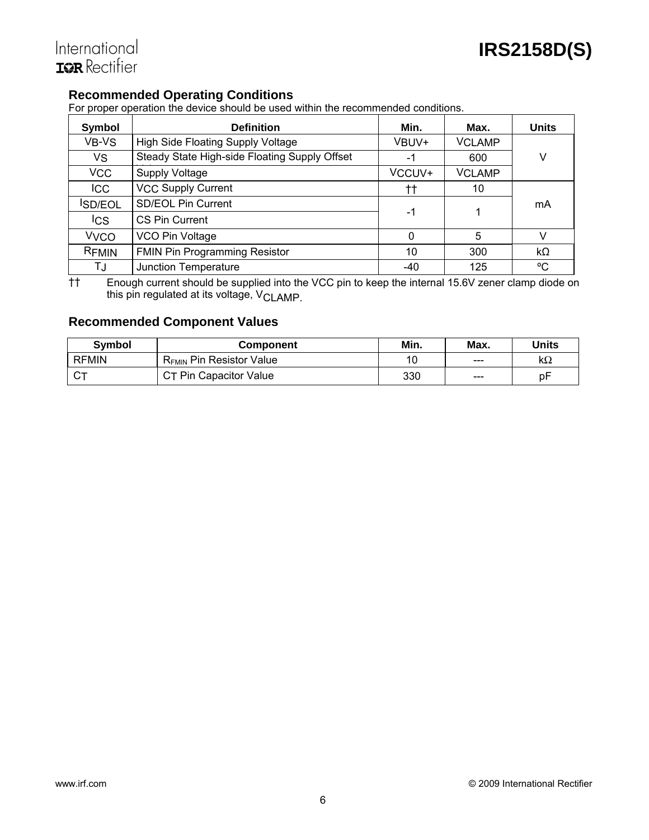# **Recommended Operating Conditions**

For proper operation the device should be used within the recommended conditions.

| Symbol                 | <b>Definition</b>                             | Min.   | Max.          | <b>Units</b> |
|------------------------|-----------------------------------------------|--------|---------------|--------------|
| VB-VS                  | <b>High Side Floating Supply Voltage</b>      | VBUV+  | <b>VCLAMP</b> |              |
| <b>VS</b>              | Steady State High-side Floating Supply Offset | -1     | 600           | ٧            |
| <b>VCC</b>             | <b>Supply Voltage</b>                         | VCCUV+ | <b>VCLAMP</b> |              |
| <b>ICC</b>             | <b>VCC Supply Current</b>                     | tt     | 10            |              |
| <b>SD/EOL</b>          | <b>SD/EOL Pin Current</b>                     | -1     |               | mA           |
| <b>ICS</b>             | CS Pin Current                                |        |               |              |
| <b>V<sub>VCO</sub></b> | VCO Pin Voltage                               | 0      | 5             | V            |
| RFMIN                  | <b>FMIN Pin Programming Resistor</b>          | 10     | 300           | $k\Omega$    |
| TJ                     | <b>Junction Temperature</b>                   | -40    | 125           | °C           |

†† Enough current should be supplied into the VCC pin to keep the internal 15.6V zener clamp diode on this pin regulated at its voltage, V<sub>CLAMP.</sub>

# **Recommended Component Values**

| <b>Symbol</b> | <b>Component</b>                     | Min. | Max. | Units     |
|---------------|--------------------------------------|------|------|-----------|
| <b>RFMIN</b>  | R <sub>FMIN</sub> Pin Resistor Value | 10   | ---  | $k\Omega$ |
| <b>r</b>      | CT Pin Capacitor Value               | 330  | ---  | pF        |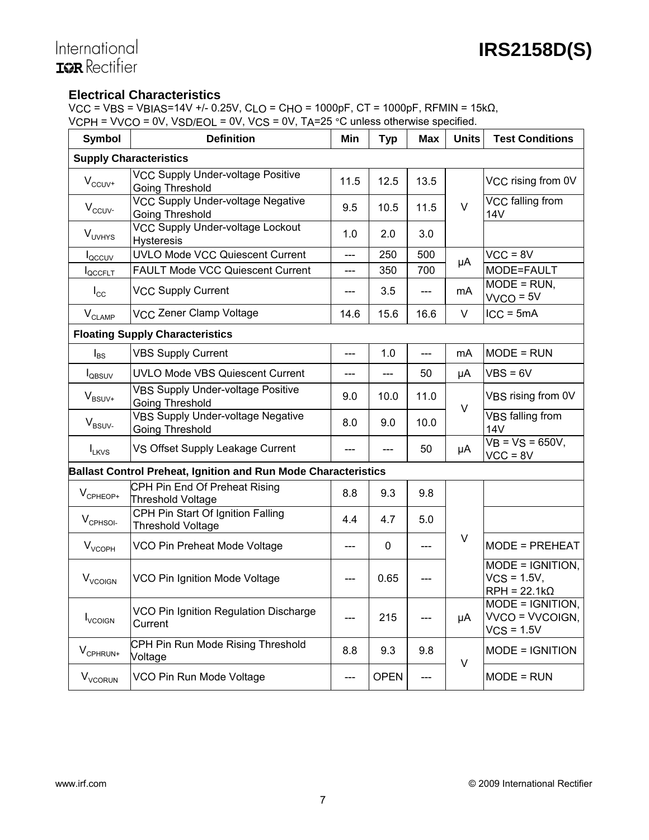## **Electrical Characteristics**

VCC = VBS = VBIAS=14V +/- 0.25V, CLO = CHO = 1000pF, CT = 1000pF, RFMIN = 15kΩ, VCPH = VVCO = 0V, VSD/EOL = 0V, VCS = 0V, TA=25 °C unless otherwise specified.

| <b>Symbol</b>                  | v voor level volled en versleid van de vanlede omderwijd opderheid.<br><b>Definition</b> | Min  | <b>Typ</b>  | Max  | <b>Units</b> | <b>Test Conditions</b>                                    |
|--------------------------------|------------------------------------------------------------------------------------------|------|-------------|------|--------------|-----------------------------------------------------------|
|                                | <b>Supply Characteristics</b>                                                            |      |             |      |              |                                                           |
| $\mathsf{V}_{\mathsf{CCUV}^+}$ | <b>VCC Supply Under-voltage Positive</b><br>Going Threshold                              | 11.5 | 12.5        | 13.5 |              | VCC rising from 0V                                        |
| $V_{CCUV}$                     | <b>VCC Supply Under-voltage Negative</b><br>Going Threshold                              | 9.5  | 10.5        | 11.5 | $\vee$       | VCC falling from<br><b>14V</b>                            |
| V <sub>UVHYS</sub>             | <b>VCC Supply Under-voltage Lockout</b><br><b>Hysteresis</b>                             | 1.0  | 2.0         | 3.0  |              |                                                           |
| l <sub>QCCUV</sub>             | <b>UVLO Mode VCC Quiescent Current</b>                                                   | ---  | 250         | 500  | μA           | $VCC = 8V$                                                |
| <b>IQCCFLT</b>                 | <b>FAULT Mode VCC Quiescent Current</b>                                                  | ---  | 350         | 700  |              | MODE=FAULT                                                |
| $I_{\rm CC}$                   | <b>VCC Supply Current</b>                                                                |      | 3.5         | ---  | mA           | $\overline{M}$ ODE = RUN,<br>$VVCO = 5V$                  |
| $\mathsf{V}_{\mathsf{CLAMP}}$  | VCC Zener Clamp Voltage                                                                  | 14.6 | 15.6        | 16.6 | V            | $ICC = 5mA$                                               |
|                                | <b>Floating Supply Characteristics</b>                                                   |      |             |      |              |                                                           |
| $I_{BS}$                       | <b>VBS Supply Current</b>                                                                | ---  | 1.0         | ---  | mA           | MODE = RUN                                                |
| <b>I</b> <sub>QBSUV</sub>      | <b>UVLO Mode VBS Quiescent Current</b>                                                   | ---  | ---         | 50   | μA           | $VBS = 6V$                                                |
| $V_{BSUV^+}$                   | <b>VBS Supply Under-voltage Positive</b><br>Going Threshold                              | 9.0  | 10.0        | 11.0 | $\vee$       | VBS rising from 0V                                        |
| $V_{BSUV}$                     | <b>VBS Supply Under-voltage Negative</b><br>Going Threshold                              | 8.0  | 9.0         | 10.0 |              | VBS falling from<br><b>14V</b>                            |
| $I_{LKVS}$                     | VS Offset Supply Leakage Current                                                         | ---  | ---         | 50   | μA           | $VB = VS = 650V,$<br>$VCC = 8V$                           |
|                                | <b>Ballast Control Preheat, Ignition and Run Mode Characteristics</b>                    |      |             |      |              |                                                           |
| $V_{\text{CPHEOP+}}$           | CPH Pin End Of Preheat Rising<br>Threshold Voltage                                       | 8.8  | 9.3         | 9.8  |              |                                                           |
| $V_{\text{CPHSOL}}$            | CPH Pin Start Of Ignition Falling<br><b>Threshold Voltage</b>                            | 4.4  | 4.7         | 5.0  |              |                                                           |
| V <sub>VCOPH</sub>             | VCO Pin Preheat Mode Voltage                                                             | ---  | 0           | ---  | $\vee$       | MODE = PREHEAT                                            |
| <b>V</b> <sub>VCOIGN</sub>     | VCO Pin Ignition Mode Voltage                                                            |      | 0.65        |      |              | MODE = IGNITION,<br>$VCS = 1.5V$ ,<br>$RPH = 22.1k\Omega$ |
| <b>I</b> <sub>VCOIGN</sub>     | VCO Pin Ignition Regulation Discharge<br>Current                                         | ---  | 215         | ---  | μA           | MODE = IGNITION,<br>VVCO = VVCOIGN,<br>$VCS = 1.5V$       |
| V <sub>CPHRUN+</sub>           | CPH Pin Run Mode Rising Threshold<br>Voltage                                             | 8.8  | 9.3         | 9.8  | $\vee$       | MODE = IGNITION                                           |
| V <sub>VCORUN</sub>            | VCO Pin Run Mode Voltage                                                                 | ---  | <b>OPEN</b> | ---  |              | $MODE = RUN$                                              |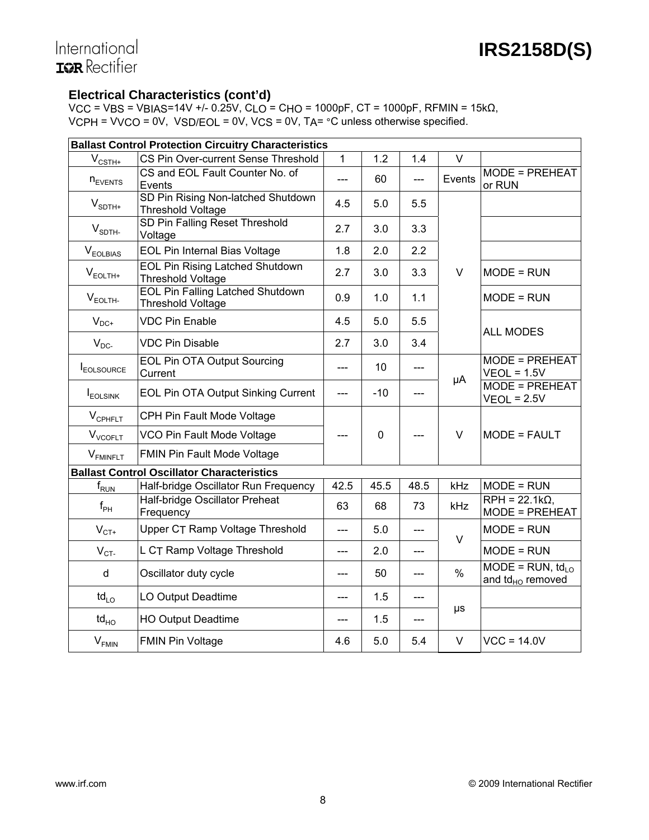# International **ISR** Rectifier

## **Electrical Characteristics (cont'd)**

VCC = VBS = VBIAS=14V +/- 0.25V, CLO = CHO = 1000pF, CT = 1000pF, RFMIN = 15kΩ, VCPH = VVCO = 0V, VSD/EOL = 0V, VCS = 0V, TA= °C unless otherwise specified.

|                                | <b>Ballast Control Protection Circuitry Characteristics</b>         |                           |             |       |         |                                             |  |  |
|--------------------------------|---------------------------------------------------------------------|---------------------------|-------------|-------|---------|---------------------------------------------|--|--|
| $V_{\text{CSTH+}}$             | CS Pin Over-current Sense Threshold                                 | 1                         | 1.2         | 1.4   | V       |                                             |  |  |
| $n_{EVENTS}$                   | CS and EOL Fault Counter No. of<br>Events                           | $-$                       | 60          | ---   | Events  | <b>MODE = PREHEAT</b><br>or RUN             |  |  |
| $V_{\text{SDTH+}}$             | SD Pin Rising Non-latched Shutdown<br><b>Threshold Voltage</b>      | 4.5                       | 5.0         | 5.5   |         |                                             |  |  |
| $V_{\text{SDTH-}}$             | SD Pin Falling Reset Threshold<br>Voltage                           | 2.7                       | 3.0         | 3.3   |         |                                             |  |  |
| $V_{\text{EOLBIAS}}$           | EOL Pin Internal Bias Voltage                                       | 1.8                       | 2.0         | 2.2   |         |                                             |  |  |
| $\mathsf{V}_{\mathsf{EOLTH+}}$ | <b>EOL Pin Rising Latched Shutdown</b><br><b>Threshold Voltage</b>  | 2.7                       | 3.0         | 3.3   | $\vee$  | $MODE = RUN$                                |  |  |
| $V_{EOLTH}$                    | <b>EOL Pin Falling Latched Shutdown</b><br><b>Threshold Voltage</b> | 0.9                       | 1.0         | 1.1   |         | $MODE = RUN$                                |  |  |
| $V_{DC+}$                      | <b>VDC Pin Enable</b>                                               | 4.5                       | 5.0         | 5.5   |         | <b>ALL MODES</b>                            |  |  |
| $V_{DC}$                       | <b>VDC Pin Disable</b>                                              | 2.7                       | 3.0         | 3.4   |         |                                             |  |  |
| <b>I</b> EOLSOURCE             | <b>EOL Pin OTA Output Sourcing</b><br>Current                       | $---$                     | 10          | ---   | μA      | <b>MODE = PREHEAT</b><br>$VEOL = 1.5V$      |  |  |
| <b>I</b> <sub>EOLSINK</sub>    | EOL Pin OTA Output Sinking Current                                  | $\qquad \qquad -\qquad -$ | $-10$       | $---$ |         | <b>MODE = PREHEAT</b><br>$VEOL = 2.5V$      |  |  |
| $V_{\text{CPHFLT}}$            | CPH Pin Fault Mode Voltage                                          |                           |             |       |         |                                             |  |  |
| $V_{VCOFLT}$                   | VCO Pin Fault Mode Voltage                                          |                           | $\mathbf 0$ | ---   | $\vee$  | MODE = FAULT                                |  |  |
| $V_{FMINFLT}$                  | FMIN Pin Fault Mode Voltage                                         |                           |             |       |         |                                             |  |  |
|                                | <b>Ballast Control Oscillator Characteristics</b>                   |                           |             |       |         |                                             |  |  |
| $\mathsf{f}_{\mathsf{RUN}}$    | Half-bridge Oscillator Run Frequency                                | 42.5                      | 45.5        | 48.5  | kHz     | $MODE = RUN$                                |  |  |
| $f_{\rm PH}$                   | Half-bridge Oscillator Preheat<br>Frequency                         | 63                        | 68          | 73    | kHz     | $RPH = 22.1k\Omega$ ,<br>MODE = PREHEAT     |  |  |
| $V_{CT+}$                      | Upper CT Ramp Voltage Threshold                                     | $-$                       | 5.0         | ---   | $\vee$  | $MODE = RUN$                                |  |  |
| $V_{CT}$                       | L CT Ramp Voltage Threshold                                         | $---$                     | 2.0         | ---   |         | $MODE = RUN$                                |  |  |
| $\sf d$                        | Oscillator duty cycle                                               | $---$                     | 50          | ---   | $\%$    | MODE = $RUN, td10$<br>and $td_{HO}$ removed |  |  |
| $\mathsf{td}_{\mathsf{LO}}$    | LO Output Deadtime                                                  |                           | 1.5         | ---   |         |                                             |  |  |
| $\mathsf{td}_{\mathsf{HO}}$    | <b>HO Output Deadtime</b>                                           | ---                       | 1.5         | ---   | $\mu s$ |                                             |  |  |
| $V_{FMIN}$                     | <b>FMIN Pin Voltage</b>                                             | 4.6                       | 5.0         | 5.4   | $\vee$  | $VCC = 14.0V$                               |  |  |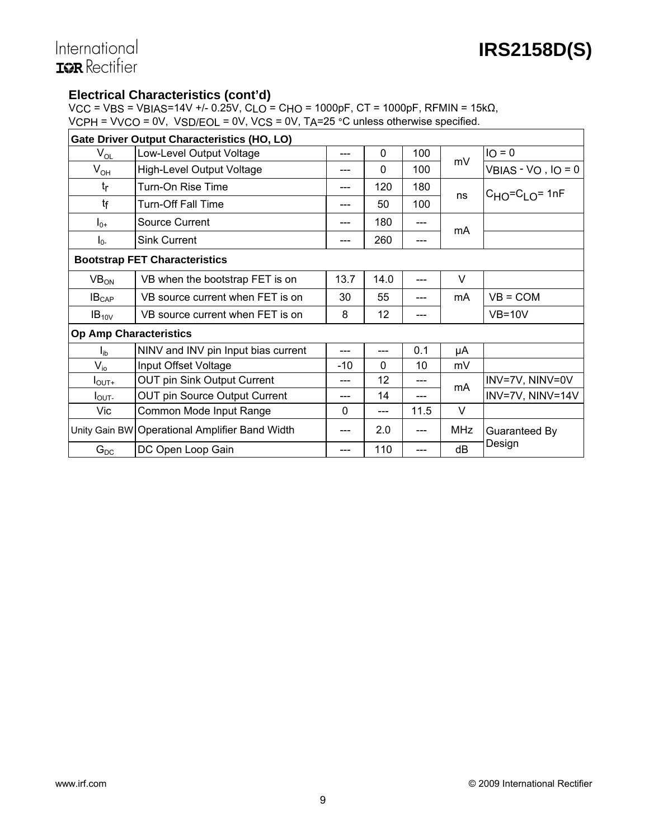# International **ISR** Rectifier

## **Electrical Characteristics (cont'd)**

VCC = VBS = VBIAS=14V +/- 0.25V, CLO = CHO = 1000pF, CT = 1000pF, RFMIN = 15kΩ, VCPH = VVCO = 0V, VSD/EOL = 0V, VCS = 0V, TA=25 °C unless otherwise specified.

|                                      | Gate Driver Output Characteristics (HO, LO)    |       |          |      |            |                         |  |
|--------------------------------------|------------------------------------------------|-------|----------|------|------------|-------------------------|--|
| $\mathsf{V}_{\mathsf{OL}}$           | Low-Level Output Voltage                       | ---   | $\Omega$ | 100  |            | $IO = 0$                |  |
| $V_{OH}$                             | High-Level Output Voltage                      |       | $\Omega$ | 100  | mV         | $VBIAS - VO$ , $IO = 0$ |  |
| $t_{\rm r}$                          | Turn-On Rise Time                              |       | 120      | 180  | ns         | $C_{HO} = C_{LO} = 1nF$ |  |
| tf                                   | Turn-Off Fall Time                             | ---   | 50       | 100  |            |                         |  |
| $I_{0+}$                             | Source Current                                 |       | 180      | ---  | mA         |                         |  |
| $I_{0}$                              | <b>Sink Current</b>                            |       | 260      | ---  |            |                         |  |
| <b>Bootstrap FET Characteristics</b> |                                                |       |          |      |            |                         |  |
| VB <sub>ON</sub>                     | VB when the bootstrap FET is on                | 13.7  | 14.0     |      | $\vee$     |                         |  |
| IB <sub>CAP</sub>                    | VB source current when FET is on               | 30    | 55       |      | mA         | $VB = COM$              |  |
| $IB_{10V}$                           | VB source current when FET is on               | 8     | 12       |      |            | $VB=10V$                |  |
| <b>Op Amp Characteristics</b>        |                                                |       |          |      |            |                         |  |
| $I_{ib}$                             | NINV and INV pin Input bias current            | ---   | ---      | 0.1  | μA         |                         |  |
| $V_{i0}$                             | Input Offset Voltage                           | $-10$ | $\Omega$ | 10   | mV         |                         |  |
| $I_{\text{OUT+}}$                    | <b>OUT pin Sink Output Current</b>             |       | 12       | ---  | mA         | INV=7V, NINV=0V         |  |
| $I_{\text{OUT}}$                     | <b>OUT pin Source Output Current</b>           | ---   | 14       | ---  |            | INV=7V, NINV=14V        |  |
| Vic                                  | Common Mode Input Range                        | 0     | ---      | 11.5 | $\vee$     |                         |  |
|                                      | Unity Gain BW Operational Amplifier Band Width | ---   | 2.0      | ---  | <b>MHz</b> | Guaranteed By           |  |
| $G_{DC}$                             | DC Open Loop Gain                              |       | 110      |      | dB         | Design                  |  |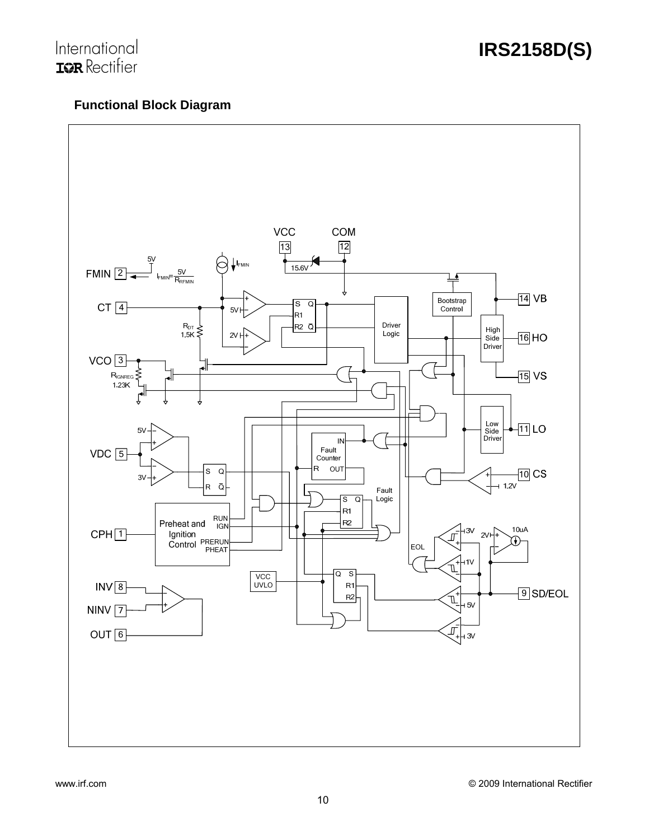# International<br>**IGR** Rectifier

# **Functional Block Diagram**

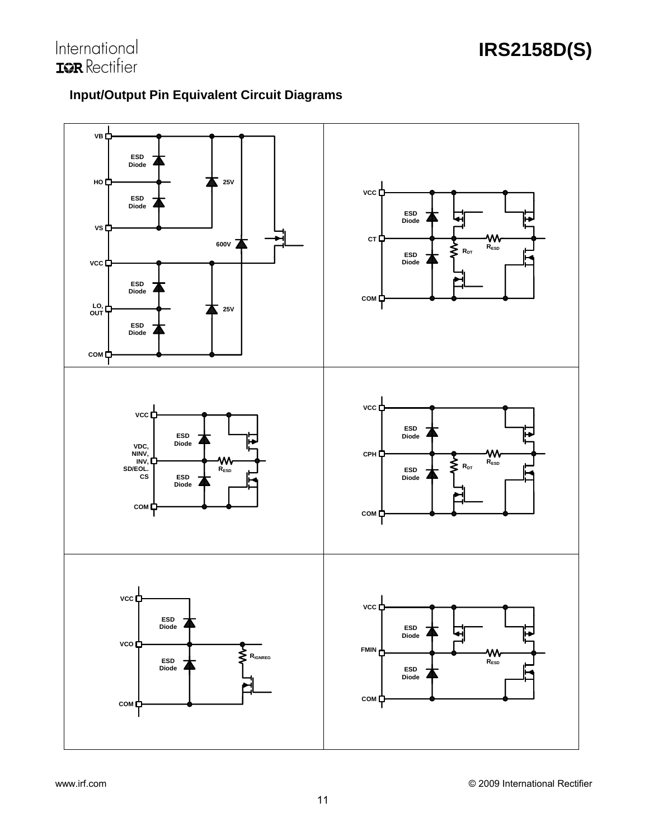

# **Input/Output Pin Equivalent Circuit Diagrams**

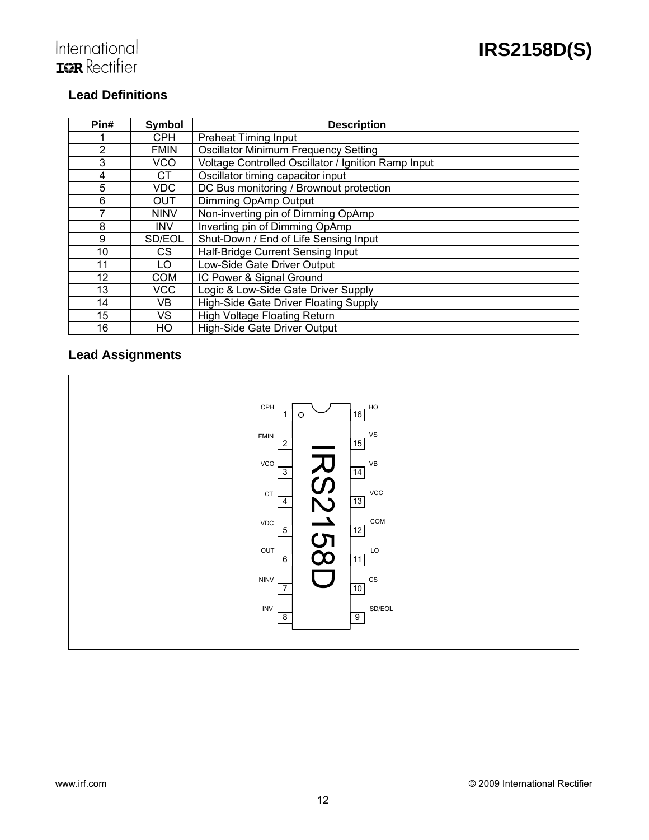# International<br>**IGR** Rectifier

# **Lead Definitions**

| Pin# | Symbol      | <b>Description</b>                                  |  |  |
|------|-------------|-----------------------------------------------------|--|--|
|      | CPH         | <b>Preheat Timing Input</b>                         |  |  |
| 2    | <b>FMIN</b> | <b>Oscillator Minimum Frequency Setting</b>         |  |  |
| 3    | VCO         | Voltage Controlled Oscillator / Ignition Ramp Input |  |  |
| 4    | <b>CT</b>   | Oscillator timing capacitor input                   |  |  |
| 5    | <b>VDC</b>  | DC Bus monitoring / Brownout protection             |  |  |
| 6    | <b>OUT</b>  | Dimming OpAmp Output                                |  |  |
|      | <b>NINV</b> | Non-inverting pin of Dimming OpAmp                  |  |  |
| 8    | <b>INV</b>  | Inverting pin of Dimming OpAmp                      |  |  |
| 9    | SD/EOL      | Shut-Down / End of Life Sensing Input               |  |  |
| 10   | CS.         | Half-Bridge Current Sensing Input                   |  |  |
| 11   | LO          | Low-Side Gate Driver Output                         |  |  |
| 12   | <b>COM</b>  | IC Power & Signal Ground                            |  |  |
| 13   | <b>VCC</b>  | Logic & Low-Side Gate Driver Supply                 |  |  |
| 14   | VB          | High-Side Gate Driver Floating Supply               |  |  |
| 15   | VS          | <b>High Voltage Floating Return</b>                 |  |  |
| 16   | HO          | High-Side Gate Driver Output                        |  |  |

# **Lead Assignments**

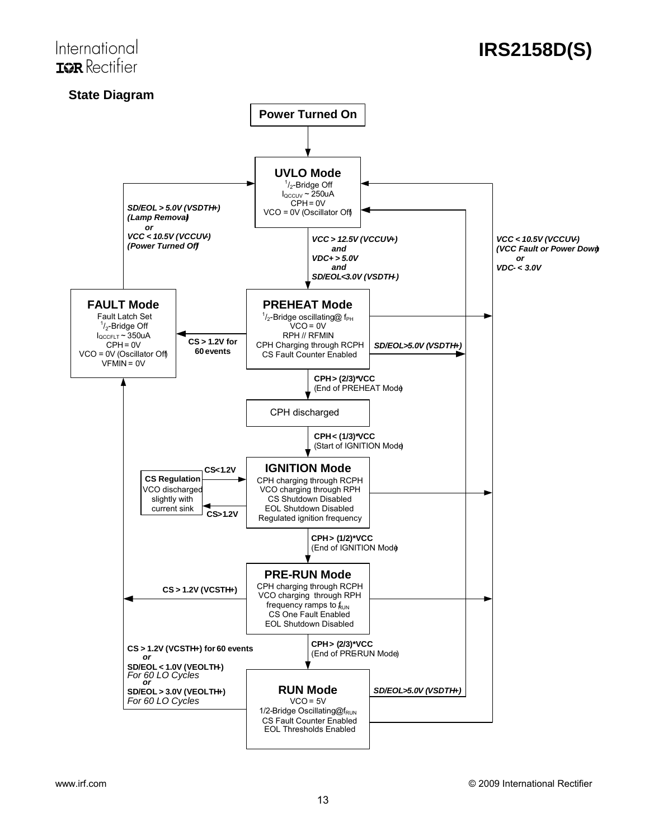# International **TOR** Rectifier

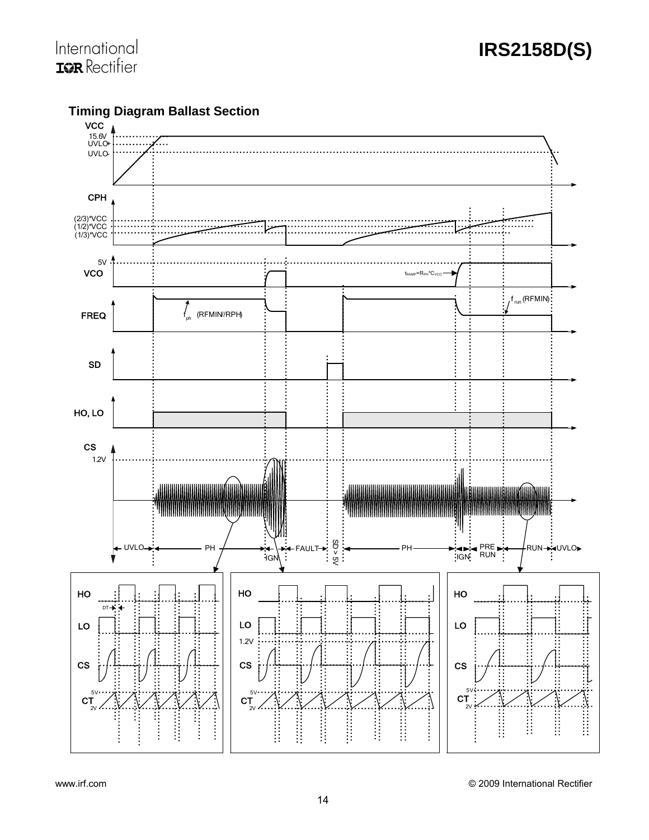

**Timing Diagram Ballast Section**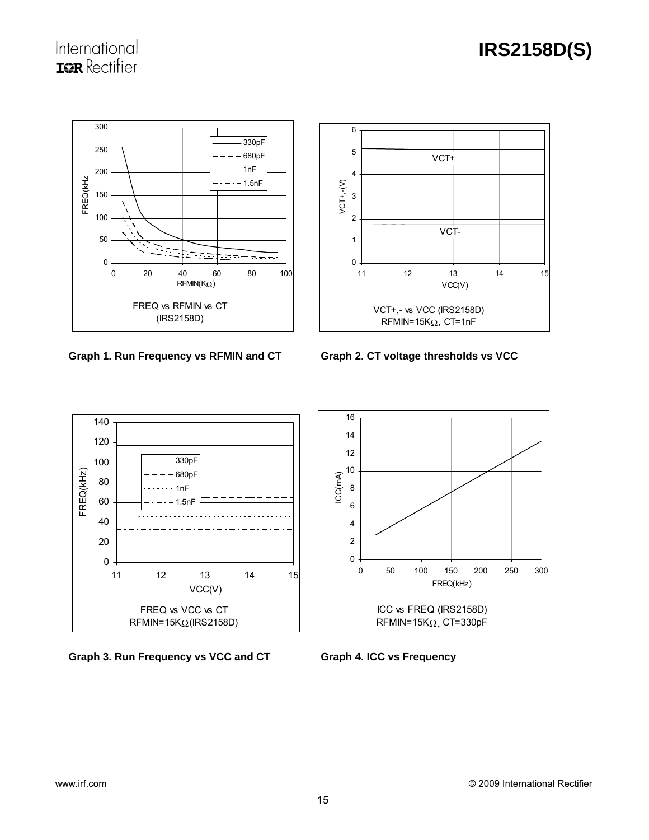

Graph 1. Run Frequency vs RFMIN and CT Graph 2. CT voltage thresholds vs VCC





Graph 3. Run Frequency vs VCC and CT **Graph 4. ICC vs Frequency** 

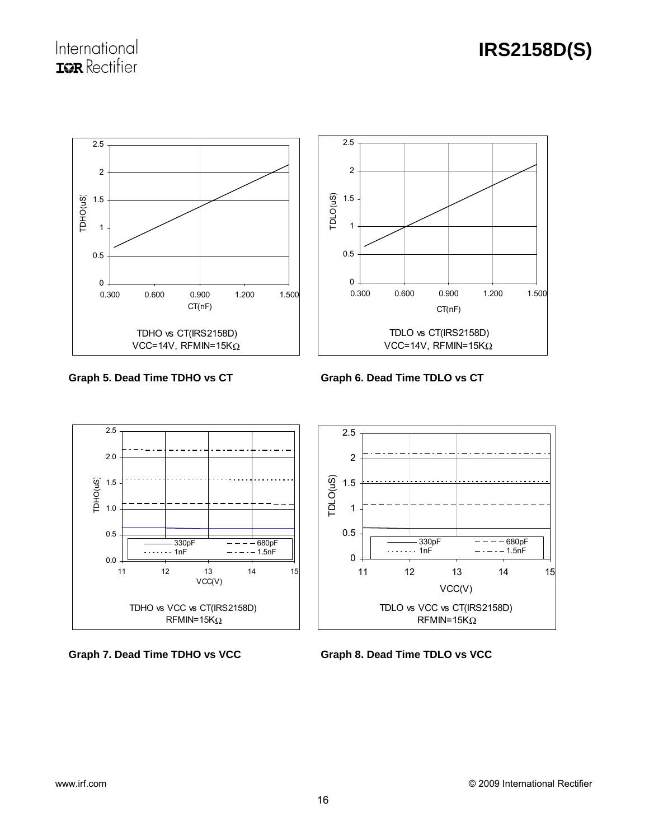**IRS2158D(S)**



Graph 5. Dead Time TDHO vs CT **Graph 6. Dead Time TDLO vs CT** 



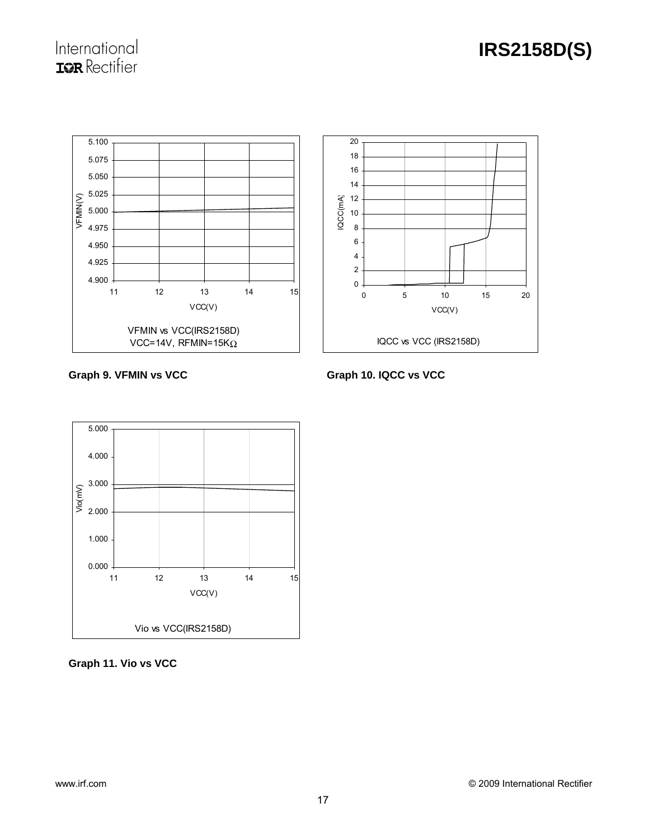

Graph 9. VFMIN vs VCC **Graph 10. IQCC vs VCC** 



**Graph 11. Vio vs VCC**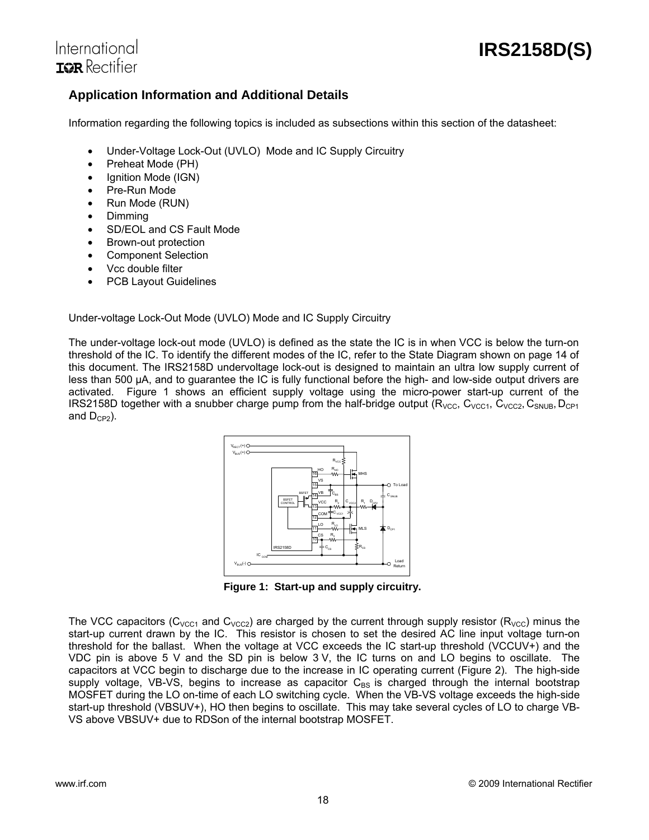

# International **TOR** Rectifier

# **Application Information and Additional Details**

Information regarding the following topics is included as subsections within this section of the datasheet:

- Under-Voltage Lock-Out (UVLO) Mode and IC Supply Circuitry
- Preheat Mode (PH)
- Ignition Mode (IGN)
- Pre-Run Mode
- Run Mode (RUN)
- Dimming
- SD/EOL and CS Fault Mode
- Brown-out protection
- Component Selection
- Vcc double filter
- PCB Layout Guidelines

Under-voltage Lock-Out Mode (UVLO) Mode and IC Supply Circuitry

The under-voltage lock-out mode (UVLO) is defined as the state the IC is in when VCC is below the turn-on threshold of the IC. To identify the different modes of the IC, refer to the State Diagram shown on page 14 of this document. The IRS2158D undervoltage lock-out is designed to maintain an ultra low supply current of less than 500 μA, and to guarantee the IC is fully functional before the high- and low-side output drivers are activated. Figure 1 shows an efficient supply voltage using the micro-power start-up current of the IRS2158D together with a snubber charge pump from the half-bridge output ( $R_{VCC}$ ,  $C_{VCC1}$ ,  $C_{VCC2}$ ,  $C_{SNUB}$ ,  $D_{CP1}$ and  $D_{CP2}$ ).



**Figure 1: Start-up and supply circuitry.** 

The VCC capacitors ( $C_{VCC1}$  and  $C_{VCC2}$ ) are charged by the current through supply resistor ( $R_{VCC}$ ) minus the start-up current drawn by the IC. This resistor is chosen to set the desired AC line input voltage turn-on threshold for the ballast. When the voltage at VCC exceeds the IC start-up threshold (VCCUV+) and the VDC pin is above 5 V and the SD pin is below 3 V, the IC turns on and LO begins to oscillate. The capacitors at VCC begin to discharge due to the increase in IC operating current (Figure 2). The high-side supply voltage, VB-VS, begins to increase as capacitor  $C_{BS}$  is charged through the internal bootstrap MOSFET during the LO on-time of each LO switching cycle. When the VB-VS voltage exceeds the high-side start-up threshold (VBSUV+), HO then begins to oscillate. This may take several cycles of LO to charge VB-VS above VBSUV+ due to RDSon of the internal bootstrap MOSFET.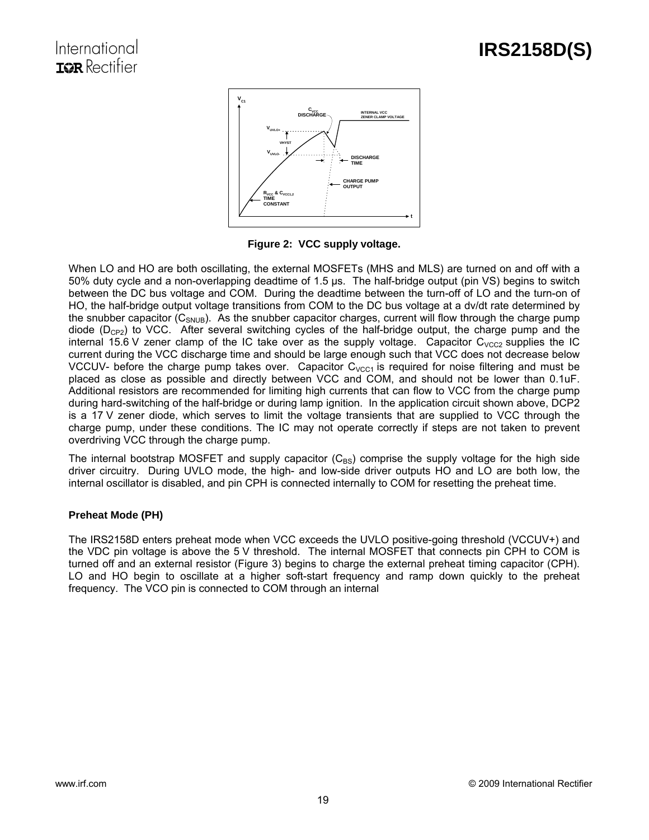

**Figure 2: VCC supply voltage.** 

When LO and HO are both oscillating, the external MOSFETs (MHS and MLS) are turned on and off with a 50% duty cycle and a non-overlapping deadtime of 1.5 μs. The half-bridge output (pin VS) begins to switch between the DC bus voltage and COM. During the deadtime between the turn-off of LO and the turn-on of HO, the half-bridge output voltage transitions from COM to the DC bus voltage at a dv/dt rate determined by the snubber capacitor  $(C_{SNUB})$ . As the snubber capacitor charges, current will flow through the charge pump diode  $(D_{CP2})$  to VCC. After several switching cycles of the half-bridge output, the charge pump and the internal 15.6 V zener clamp of the IC take over as the supply voltage. Capacitor  $C_{VCC2}$  supplies the IC current during the VCC discharge time and should be large enough such that VCC does not decrease below VCCUV- before the charge pump takes over. Capacitor  $C_{VCC1}$  is required for noise filtering and must be placed as close as possible and directly between VCC and COM, and should not be lower than 0.1uF. Additional resistors are recommended for limiting high currents that can flow to VCC from the charge pump during hard-switching of the half-bridge or during lamp ignition. In the application circuit shown above, DCP2 is a 17 V zener diode, which serves to limit the voltage transients that are supplied to VCC through the charge pump, under these conditions. The IC may not operate correctly if steps are not taken to prevent overdriving VCC through the charge pump.

The internal bootstrap MOSFET and supply capacitor  $(C_{BS})$  comprise the supply voltage for the high side driver circuitry. During UVLO mode, the high- and low-side driver outputs HO and LO are both low, the internal oscillator is disabled, and pin CPH is connected internally to COM for resetting the preheat time.

## **Preheat Mode (PH)**

The IRS2158D enters preheat mode when VCC exceeds the UVLO positive-going threshold (VCCUV+) and the VDC pin voltage is above the 5 V threshold. The internal MOSFET that connects pin CPH to COM is turned off and an external resistor (Figure 3) begins to charge the external preheat timing capacitor (CPH). LO and HO begin to oscillate at a higher soft-start frequency and ramp down quickly to the preheat frequency. The VCO pin is connected to COM through an internal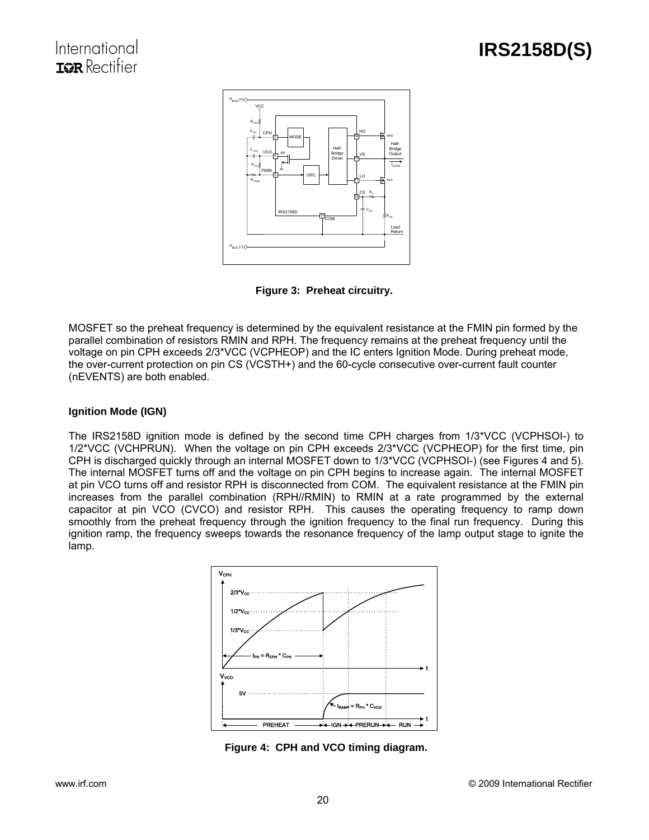

**Figure 3: Preheat circuitry.** 

MOSFET so the preheat frequency is determined by the equivalent resistance at the FMIN pin formed by the parallel combination of resistors RMIN and RPH. The frequency remains at the preheat frequency until the voltage on pin CPH exceeds 2/3\*VCC (VCPHEOP) and the IC enters Ignition Mode. During preheat mode, the over-current protection on pin CS (VCSTH+) and the 60-cycle consecutive over-current fault counter (nEVENTS) are both enabled.

## **Ignition Mode (IGN)**

The IRS2158D ignition mode is defined by the second time CPH charges from 1/3\*VCC (VCPHSOI-) to 1/2\*VCC (VCHPRUN). When the voltage on pin CPH exceeds 2/3\*VCC (VCPHEOP) for the first time, pin CPH is discharged quickly through an internal MOSFET down to 1/3\*VCC (VCPHSOI-) (see Figures 4 and 5). The internal MOSFET turns off and the voltage on pin CPH begins to increase again. The internal MOSFET at pin VCO turns off and resistor RPH is disconnected from COM. The equivalent resistance at the FMIN pin increases from the parallel combination (RPH//RMIN) to RMIN at a rate programmed by the external capacitor at pin VCO (CVCO) and resistor RPH. This causes the operating frequency to ramp down smoothly from the preheat frequency through the ignition frequency to the final run frequency. During this ignition ramp, the frequency sweeps towards the resonance frequency of the lamp output stage to ignite the lamp.



**Figure 4: CPH and VCO timing diagram.**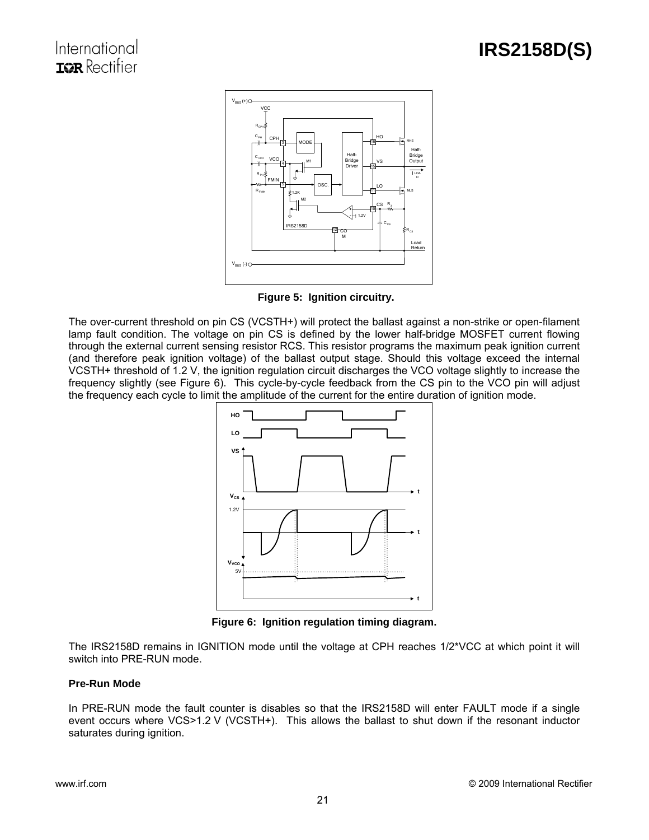

**Figure 5: Ignition circuitry.** 

The over-current threshold on pin CS (VCSTH+) will protect the ballast against a non-strike or open-filament lamp fault condition. The voltage on pin CS is defined by the lower half-bridge MOSFET current flowing through the external current sensing resistor RCS. This resistor programs the maximum peak ignition current (and therefore peak ignition voltage) of the ballast output stage. Should this voltage exceed the internal VCSTH+ threshold of 1.2 V, the ignition regulation circuit discharges the VCO voltage slightly to increase the frequency slightly (see Figure 6). This cycle-by-cycle feedback from the CS pin to the VCO pin will adjust the frequency each cycle to limit the amplitude of the current for the entire duration of ignition mode.



**Figure 6: Ignition regulation timing diagram.** 

The IRS2158D remains in IGNITION mode until the voltage at CPH reaches 1/2\*VCC at which point it will switch into PRE-RUN mode.

## **Pre-Run Mode**

In PRE-RUN mode the fault counter is disables so that the IRS2158D will enter FAULT mode if a single event occurs where VCS>1.2 V (VCSTH+). This allows the ballast to shut down if the resonant inductor saturates during ignition.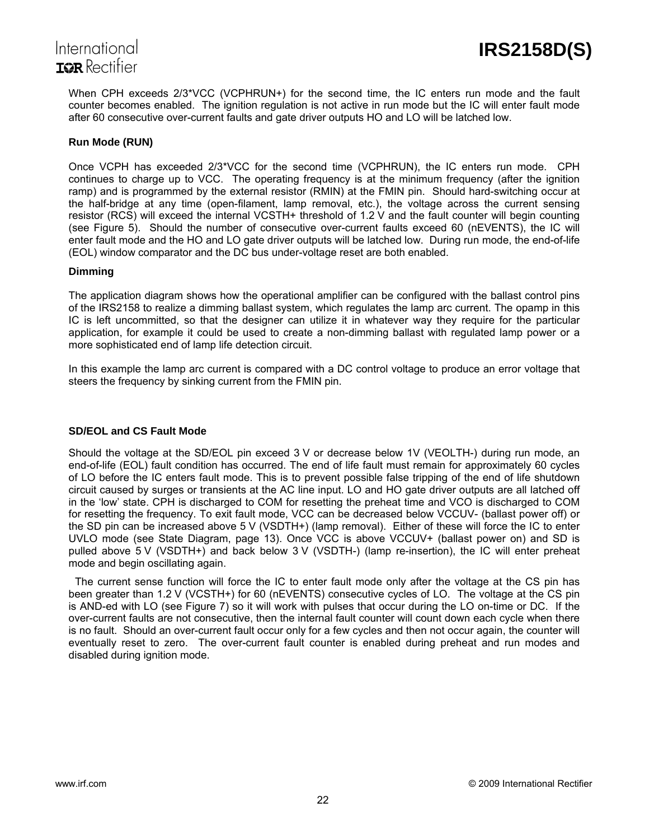

When CPH exceeds 2/3\*VCC (VCPHRUN+) for the second time, the IC enters run mode and the fault counter becomes enabled. The ignition regulation is not active in run mode but the IC will enter fault mode after 60 consecutive over-current faults and gate driver outputs HO and LO will be latched low.

## **Run Mode (RUN)**

Once VCPH has exceeded 2/3\*VCC for the second time (VCPHRUN), the IC enters run mode. CPH continues to charge up to VCC. The operating frequency is at the minimum frequency (after the ignition ramp) and is programmed by the external resistor (RMIN) at the FMIN pin. Should hard-switching occur at the half-bridge at any time (open-filament, lamp removal, etc.), the voltage across the current sensing resistor (RCS) will exceed the internal VCSTH+ threshold of 1.2 V and the fault counter will begin counting (see Figure 5). Should the number of consecutive over-current faults exceed 60 (nEVENTS), the IC will enter fault mode and the HO and LO gate driver outputs will be latched low. During run mode, the end-of-life (EOL) window comparator and the DC bus under-voltage reset are both enabled.

### **Dimming**

The application diagram shows how the operational amplifier can be configured with the ballast control pins of the IRS2158 to realize a dimming ballast system, which regulates the lamp arc current. The opamp in this IC is left uncommitted, so that the designer can utilize it in whatever way they require for the particular application, for example it could be used to create a non-dimming ballast with regulated lamp power or a more sophisticated end of lamp life detection circuit.

In this example the lamp arc current is compared with a DC control voltage to produce an error voltage that steers the frequency by sinking current from the FMIN pin.

### **SD/EOL and CS Fault Mode**

Should the voltage at the SD/EOL pin exceed 3 V or decrease below 1V (VEOLTH-) during run mode, an end-of-life (EOL) fault condition has occurred. The end of life fault must remain for approximately 60 cycles of LO before the IC enters fault mode. This is to prevent possible false tripping of the end of life shutdown circuit caused by surges or transients at the AC line input. LO and HO gate driver outputs are all latched off in the 'low' state. CPH is discharged to COM for resetting the preheat time and VCO is discharged to COM for resetting the frequency. To exit fault mode, VCC can be decreased below VCCUV- (ballast power off) or the SD pin can be increased above 5 V (VSDTH+) (lamp removal). Either of these will force the IC to enter UVLO mode (see State Diagram, page 13). Once VCC is above VCCUV+ (ballast power on) and SD is pulled above 5 V (VSDTH+) and back below 3 V (VSDTH-) (lamp re-insertion), the IC will enter preheat mode and begin oscillating again.

The current sense function will force the IC to enter fault mode only after the voltage at the CS pin has been greater than 1.2 V (VCSTH+) for 60 (nEVENTS) consecutive cycles of LO. The voltage at the CS pin is AND-ed with LO (see Figure 7) so it will work with pulses that occur during the LO on-time or DC. If the over-current faults are not consecutive, then the internal fault counter will count down each cycle when there is no fault. Should an over-current fault occur only for a few cycles and then not occur again, the counter will eventually reset to zero. The over-current fault counter is enabled during preheat and run modes and disabled during ignition mode.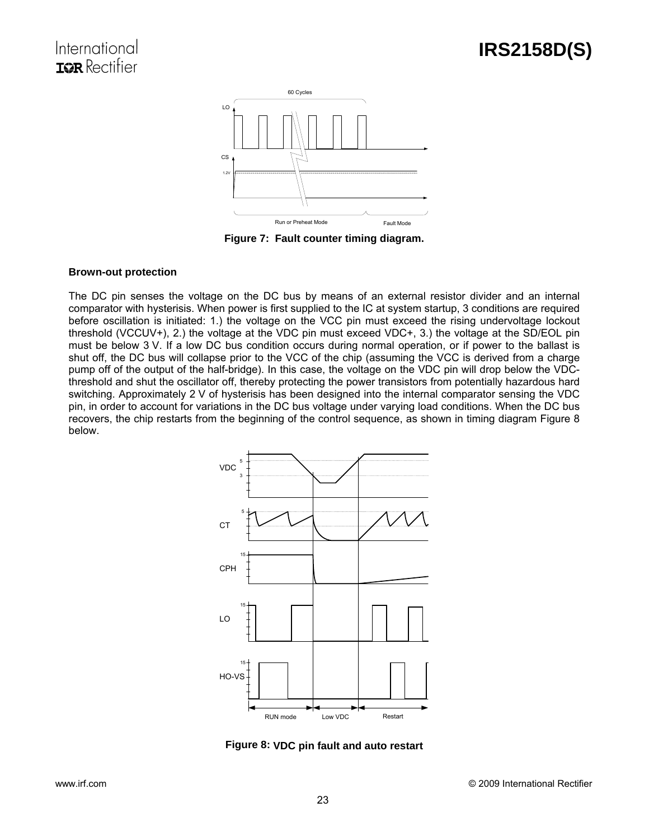

**Figure 7: Fault counter timing diagram.** 

### **Brown-out protection**

The DC pin senses the voltage on the DC bus by means of an external resistor divider and an internal comparator with hysterisis. When power is first supplied to the IC at system startup, 3 conditions are required before oscillation is initiated: 1.) the voltage on the VCC pin must exceed the rising undervoltage lockout threshold (VCCUV+), 2.) the voltage at the VDC pin must exceed VDC+, 3.) the voltage at the SD/EOL pin must be below 3 V. If a low DC bus condition occurs during normal operation, or if power to the ballast is shut off, the DC bus will collapse prior to the VCC of the chip (assuming the VCC is derived from a charge pump off of the output of the half-bridge). In this case, the voltage on the VDC pin will drop below the VDCthreshold and shut the oscillator off, thereby protecting the power transistors from potentially hazardous hard switching. Approximately 2 V of hysterisis has been designed into the internal comparator sensing the VDC pin, in order to account for variations in the DC bus voltage under varying load conditions. When the DC bus recovers, the chip restarts from the beginning of the control sequence, as shown in timing diagram Figure 8 below.



**Figure 8: VDC pin fault and auto restart**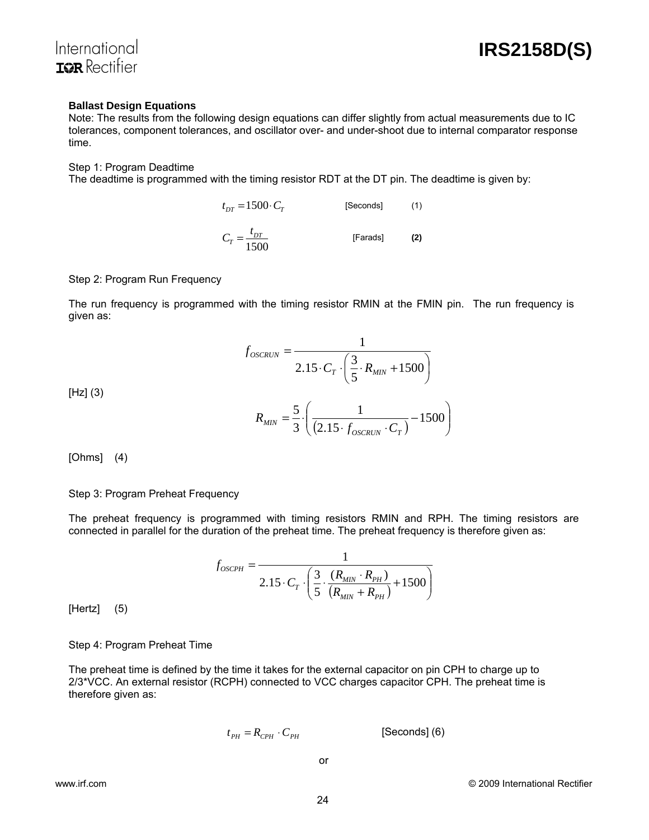

#### **Ballast Design Equations**

Note: The results from the following design equations can differ slightly from actual measurements due to IC tolerances, component tolerances, and oscillator over- and under-shoot due to internal comparator response time.

#### Step 1: Program Deadtime

The deadtime is programmed with the timing resistor RDT at the DT pin. The deadtime is given by:

$$
t_{DT} = 1500 \cdot C_T
$$
 [Seconds] (1)  

$$
C_T = \frac{t_{DT}}{1500}
$$
 [Farads] (2)

#### Step 2: Program Run Frequency

The run frequency is programmed with the timing resistor RMIN at the FMIN pin. The run frequency is given as:

$$
f_{OSCRUN} = \frac{1}{2.15 \cdot C_T \cdot \left(\frac{3}{5} \cdot R_{MIN} + 1500\right)}
$$

[Hz] (3)

$$
R_{MIN} = \frac{5}{3} \cdot \left( \frac{1}{(2.15 \cdot f_{oscRUN} \cdot C_T)} - 1500 \right)
$$

[Ohms] (4)

#### Step 3: Program Preheat Frequency

The preheat frequency is programmed with timing resistors RMIN and RPH. The timing resistors are connected in parallel for the duration of the preheat time. The preheat frequency is therefore given as:

$$
f_{OSCPH} = \frac{1}{2.15 \cdot C_T \cdot \left(\frac{3}{5} \cdot \frac{(R_{MIN} \cdot R_{PH})}{(R_{MIN} + R_{PH})} + 1500\right)}
$$

[Hertz] (5)

Step 4: Program Preheat Time

The preheat time is defined by the time it takes for the external capacitor on pin CPH to charge up to 2/3\*VCC. An external resistor (RCPH) connected to VCC charges capacitor CPH. The preheat time is therefore given as:

$$
t_{PH} = R_{CPH} \cdot C_{PH} \qquad \qquad \text{[Seconds] (6)}
$$

or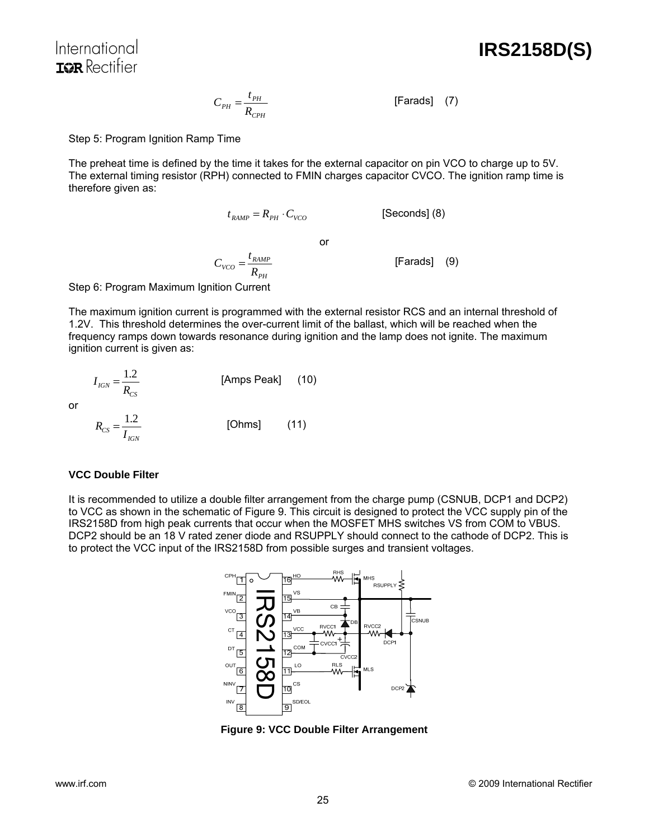**IRS2158D(S)**

$$
C_{PH} = \frac{t_{PH}}{R_{CPH}} \tag{7}
$$

Step 5: Program Ignition Ramp Time

The preheat time is defined by the time it takes for the external capacitor on pin VCO to charge up to 5V. The external timing resistor (RPH) connected to FMIN charges capacitor CVCO. The ignition ramp time is therefore given as:

$$
t_{RAMP} = R_{PH} \cdot C_{VCO}
$$
 [Seconds] (8)

or

 $V_{VCO} = \frac{V_{RAMP}}{R_{PH}}$  $C_{VCO} = \frac{t_{RAMP}}{R}$  [Farads] (9)

*PH*

Step 6: Program Maximum Ignition Current

The maximum ignition current is programmed with the external resistor RCS and an internal threshold of 1.2V. This threshold determines the over-current limit of the ballast, which will be reached when the frequency ramps down towards resonance during ignition and the lamp does not ignite. The maximum ignition current is given as:

$$
I_{IGN} = \frac{1.2}{R_{CS}}
$$
 [Amps Peak] (10)  

$$
R_{CS} = \frac{1.2}{I_{IGN}}
$$
 [Ohms] (11)

## **VCC Double Filter**

or

It is recommended to utilize a double filter arrangement from the charge pump (CSNUB, DCP1 and DCP2) to VCC as shown in the schematic of Figure 9. This circuit is designed to protect the VCC supply pin of the IRS2158D from high peak currents that occur when the MOSFET MHS switches VS from COM to VBUS. DCP2 should be an 18 V rated zener diode and RSUPPLY should connect to the cathode of DCP2. This is to protect the VCC input of the IRS2158D from possible surges and transient voltages.



**Figure 9: VCC Double Filter Arrangement**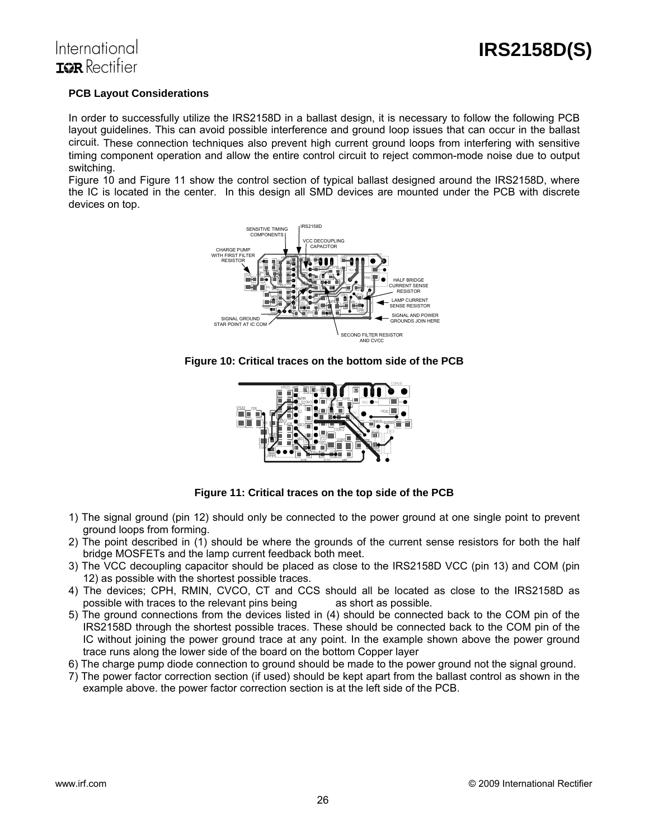## **PCB Layout Considerations**

In order to successfully utilize the IRS2158D in a ballast design, it is necessary to follow the following PCB layout guidelines. This can avoid possible interference and ground loop issues that can occur in the ballast circuit. These connection techniques also prevent high current ground loops from interfering with sensitive timing component operation and allow the entire control circuit to reject common-mode noise due to output switching.

Figure 10 and Figure 11 show the control section of typical ballast designed around the IRS2158D, where the IC is located in the center. In this design all SMD devices are mounted under the PCB with discrete devices on top.



**Figure 10: Critical traces on the bottom side of the PCB** 



**Figure 11: Critical traces on the top side of the PCB** 

- 1) The signal ground (pin 12) should only be connected to the power ground at one single point to prevent ground loops from forming.
- 2) The point described in (1) should be where the grounds of the current sense resistors for both the half bridge MOSFETs and the lamp current feedback both meet.
- 3) The VCC decoupling capacitor should be placed as close to the IRS2158D VCC (pin 13) and COM (pin 12) as possible with the shortest possible traces.
- 4) The devices; CPH, RMIN, CVCO, CT and CCS should all be located as close to the IRS2158D as possible with traces to the relevant pins being as short as possible.
- 5) The ground connections from the devices listed in (4) should be connected back to the COM pin of the IRS2158D through the shortest possible traces. These should be connected back to the COM pin of the IC without joining the power ground trace at any point. In the example shown above the power ground trace runs along the lower side of the board on the bottom Copper layer
- 6) The charge pump diode connection to ground should be made to the power ground not the signal ground.
- 7) The power factor correction section (if used) should be kept apart from the ballast control as shown in the example above. the power factor correction section is at the left side of the PCB.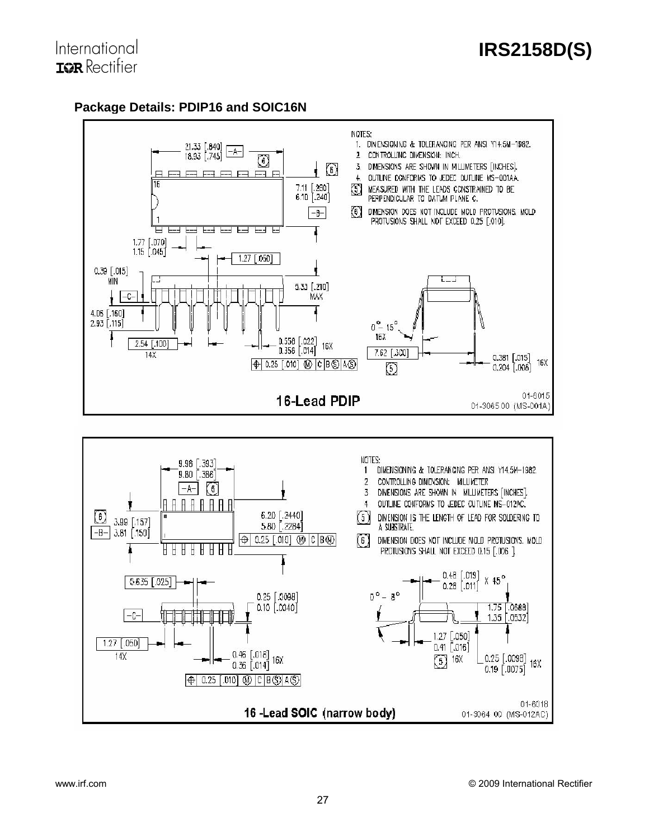# **Package Details: PDIP16 and SOIC16N**



 $-C-$ 

 $1.27$  [.050]

 $14X$ 

1.35 .0532

 $0.25$  [.0098]

 $0.19$   $0.0075$ ]

01-3064 00 (MS-012AC)

16X

01-6018

 $1.27$  [.050]

 $0.41$   $0.016$ 

冈 **16X** 

16 -Lead SOIC (narrow body)

 $\begin{bmatrix} 0.46 & [.018] \\ 0.36 & [.014] \end{bmatrix}$  16X

 $\bigoplus$  0.25 [.010]  $\circledR$  | C | B  $\circledS$  | A  $\circledS$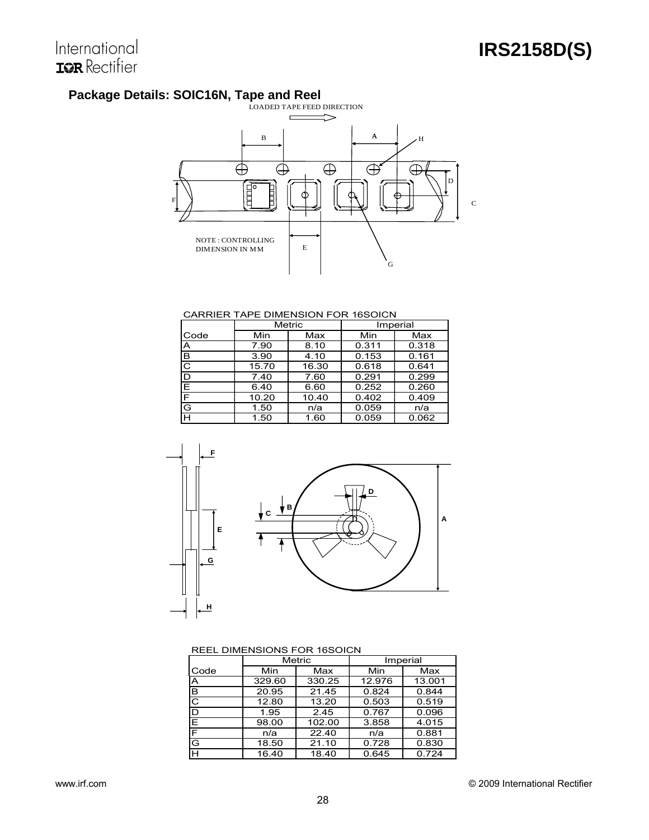# **Package Details: SOIC16N, Tape and Reel**



#### CARRIER TAPE DIMENSION FOR 16SOICN

|      | Metric |       |       | Imperial |
|------|--------|-------|-------|----------|
| Code | Min    | Max   | Min   | Max      |
| A    | 7.90   | 8.10  | 0.311 | 0.318    |
| B    | 3.90   | 4.10  | 0.153 | 0.161    |
| C    | 15.70  | 16.30 | 0.618 | 0.641    |
| D    | 7.40   | 7.60  | 0.291 | 0.299    |
| E    | 6.40   | 6.60  | 0.252 | 0.260    |
| F    | 10.20  | 10.40 | 0.402 | 0.409    |
| G    | 1.50   | n/a   | 0.059 | n/a      |
| Н    | 1.50   | 1.60  | 0.059 | 0.062    |



#### REEL DIMENSIONS FOR 16SOICN

|      | Metric |        |        | Imperial |
|------|--------|--------|--------|----------|
| Code | Min    | Max    | Min    | Max      |
| ΙA   | 329.60 | 330.25 | 12.976 | 13.001   |
| lΒ   | 20.95  | 21.45  | 0.824  | 0.844    |
| ГC   | 12.80  | 13.20  | 0.503  | 0.519    |
| D    | 1.95   | 2.45   | 0.767  | 0.096    |
| ΙE   | 98.00  | 102.00 | 3.858  | 4.015    |
| F    | n/a    | 22.40  | n/a    | 0.881    |
| G    | 18.50  | 21.10  | 0.728  | 0.830    |
| Iн   | 16.40  | 18.40  | 0.645  | 0.724    |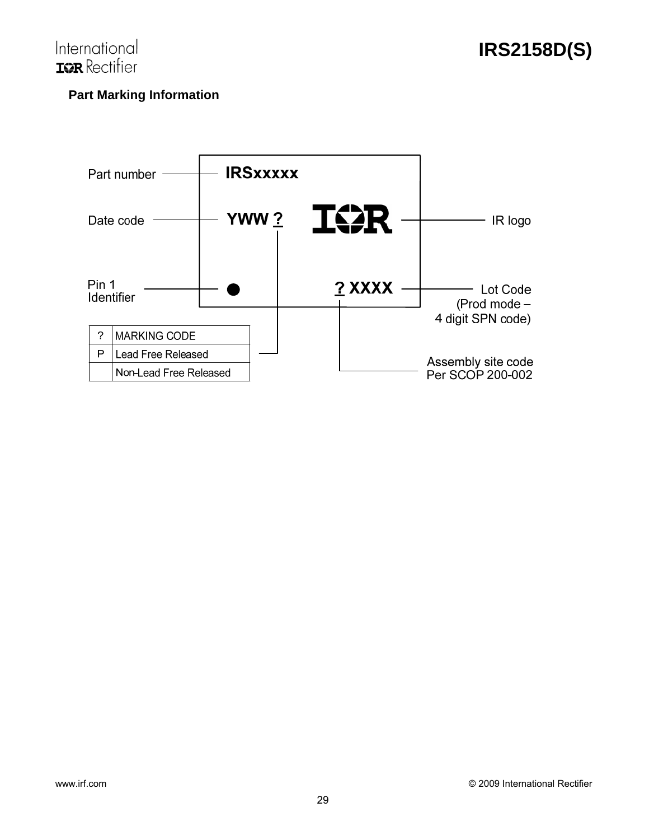

# **Part Marking Information**